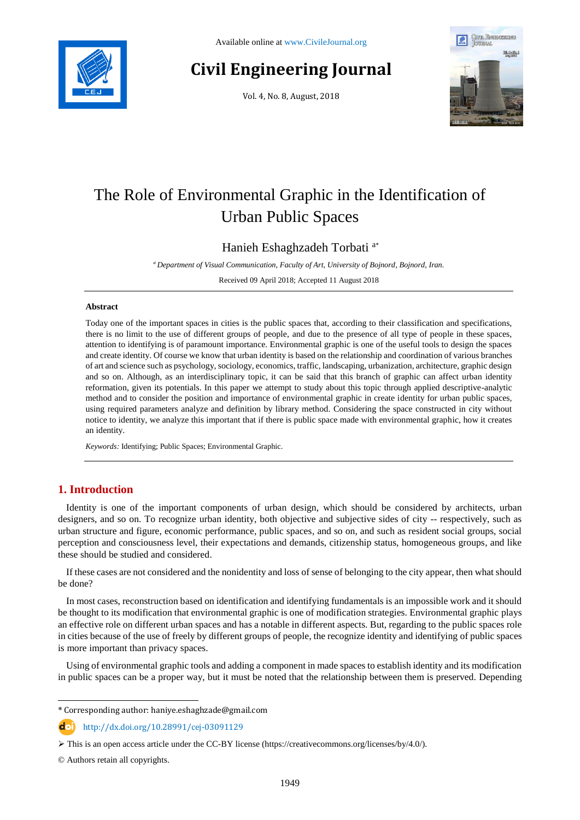

# **Civil Engineering Journal**

Vol. 4, No. 8, August, 2018



# The Role of Environmental Graphic in the Identification of Urban Public Spaces

Hanieh Eshaghzadeh Torbati <sup>a</sup>\*

*<sup>a</sup> Department of Visual Communication, Faculty of Art, University of Bojnord, Bojnord, Iran.*

Received 09 April 2018; Accepted 11 August 2018

#### **Abstract**

Today one of the important spaces in cities is the public spaces that, according to their classification and specifications, there is no limit to the use of different groups of people, and due to the presence of all type of people in these spaces, attention to identifying is of paramount importance. Environmental graphic is one of the useful tools to design the spaces and create identity. Of course we know that urban identity is based on the relationship and coordination of various branches of art and science such as psychology, sociology, economics, traffic, landscaping, urbanization, architecture, graphic design and so on. Although, as an interdisciplinary topic, it can be said that this branch of graphic can affect urban identity reformation, given its potentials. In this paper we attempt to study about this topic through applied descriptive-analytic method and to consider the position and importance of environmental graphic in create identity for urban public spaces, using required parameters analyze and definition by library method. Considering the space constructed in city without notice to identity, we analyze this important that if there is public space made with environmental graphic, how it creates an identity.

*Keywords:* Identifying; Public Spaces; Environmental Graphic.

# **1. Introduction**

Identity is one of the important components of urban design, which should be considered by architects, urban designers, and so on. To recognize urban identity, both objective and subjective sides of city -- respectively, such as urban structure and figure, economic performance, public spaces, and so on, and such as resident social groups, social perception and consciousness level, their expectations and demands, citizenship status, homogeneous groups, and like these should be studied and considered.

If these cases are not considered and the nonidentity and loss of sense of belonging to the city appear, then what should be done?

In most cases, reconstruction based on identification and identifying fundamentals is an impossible work and it should be thought to its modification that environmental graphic is one of modification strategies. Environmental graphic plays an effective role on different urban spaces and has a notable in different aspects. But, regarding to the public spaces role in cities because of the use of freely by different groups of people, the recognize identity and identifying of public spaces is more important than privacy spaces.

Using of environmental graphic tools and adding a component in made spaces to establish identity and its modification in public spaces can be a proper way, but it must be noted that the relationship between them is preserved. Depending

http://dx.doi.org/10.28991/cej-03091129

© Authors retain all copyrights.

l

<sup>\*</sup> Corresponding author: haniye.eshaghzade@gmail.com

This is an open access article under the CC-BY license [\(https://creativecommons.org/licenses/by/4.0/\)](https://creativecommons.org/licenses/by/4.0/).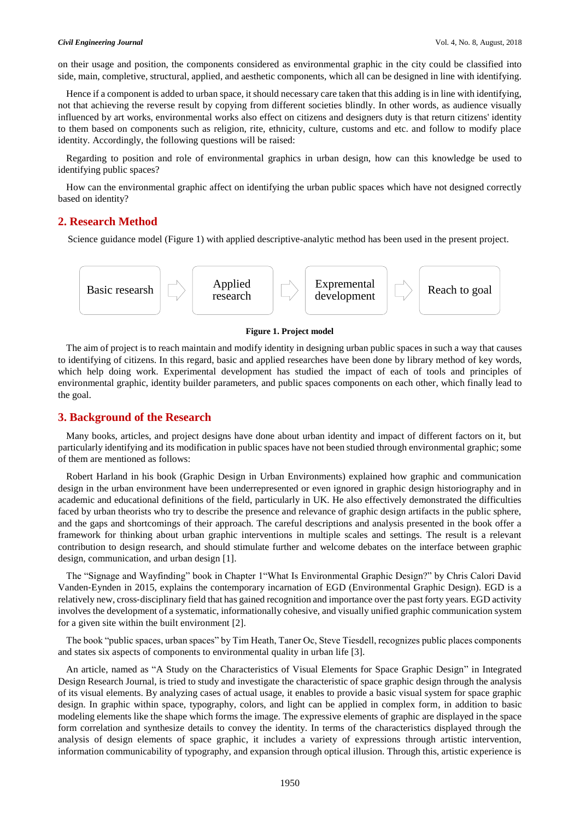on their usage and position, the components considered as environmental graphic in the city could be classified into side, main, completive, structural, applied, and aesthetic components, which all can be designed in line with identifying.

Hence if a component is added to urban space, it should necessary care taken that this adding is in line with identifying, not that achieving the reverse result by copying from different societies blindly. In other words, as audience visually influenced by art works, environmental works also effect on citizens and designers duty is that return citizens' identity to them based on components such as religion, rite, ethnicity, culture, customs and etc. and follow to modify place identity. Accordingly, the following questions will be raised:

Regarding to position and role of environmental graphics in urban design, how can this knowledge be used to identifying public spaces?

How can the environmental graphic affect on identifying the urban public spaces which have not designed correctly based on identity?

#### **2. Research Method**

Science guidance model (Figure 1) with applied descriptive-analytic method has been used in the present project.



#### **Figure 1. Project model**

The aim of project is to reach maintain and modify identity in designing urban public spaces in such a way that causes to identifying of citizens. In this regard, basic and applied researches have been done by library method of key words, which help doing work. Experimental development has studied the impact of each of tools and principles of environmental graphic, identity builder parameters, and public spaces components on each other, which finally lead to the goal.

#### **3. Background of the Research**

Many books, articles, and project designs have done about urban identity and impact of different factors on it, but particularly identifying and its modification in public spaces have not been studied through environmental graphic; some of them are mentioned as follows:

Robert Harland in his book (Graphic Design in Urban Environments) explained how graphic and communication design in the urban environment have been underrepresented or even ignored in graphic design historiography and in academic and educational definitions of the field, particularly in UK. He also effectively demonstrated the difficulties faced by urban theorists who try to describe the presence and relevance of graphic design artifacts in the public sphere, and the gaps and shortcomings of their approach. The careful descriptions and analysis presented in the book offer a framework for thinking about urban graphic interventions in multiple scales and settings. The result is a relevant contribution to design research, and should stimulate further and welcome debates on the interface between graphic design, communication, and urban design [1].

The "Signage and Wayfinding" book in Chapter 1"What Is Environmental Graphic Design?" by Chris Calori David Vanden‐Eynden in 2015, explains the contemporary incarnation of EGD (Environmental Graphic Design). EGD is a relatively new, cross‐disciplinary field that has gained recognition and importance over the past forty years. EGD activity involves the development of a systematic, informationally cohesive, and visually unified graphic communication system for a given site within the built environment [2].

The book "public spaces, urban spaces" by Tim Heath, Taner Oc, Steve Tiesdell, recognizes public places components and states six aspects of components to environmental quality in urban life [3].

An article, named as "A Study on the Characteristics of Visual Elements for Space Graphic Design" in Integrated Design Research Journal, is tried to study and investigate the characteristic of space graphic design through the analysis of its visual elements. By analyzing cases of actual usage, it enables to provide a basic visual system for space graphic design. In graphic within space, typography, colors, and light can be applied in complex form, in addition to basic modeling elements like the shape which forms the image. The expressive elements of graphic are displayed in the space form correlation and synthesize details to convey the identity. In terms of the characteristics displayed through the analysis of design elements of space graphic, it includes a variety of expressions through artistic intervention, information communicability of typography, and expansion through optical illusion. Through this, artistic experience is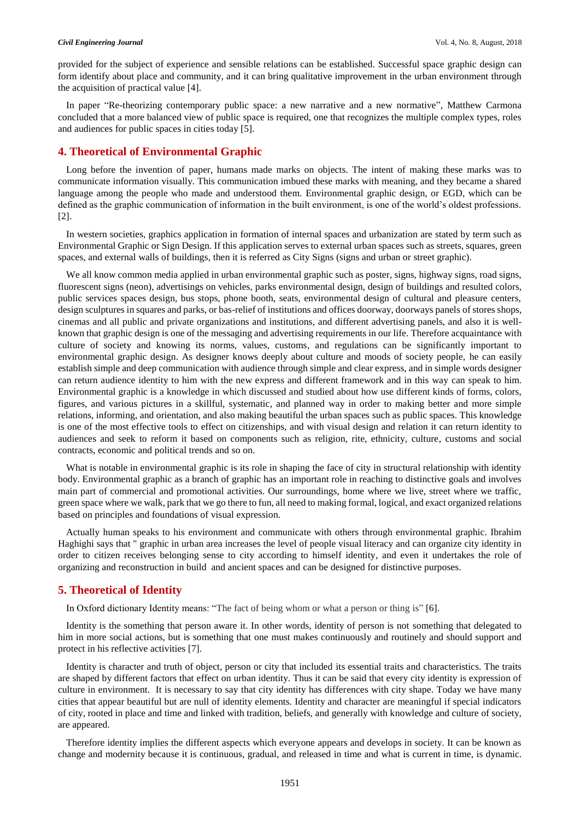provided for the subject of experience and sensible relations can be established. Successful space graphic design can form identify about place and community, and it can bring qualitative improvement in the urban environment through the acquisition of practical value [4].

In paper "Re-theorizing contemporary public space: a new narrative and a new normative", Matthew Carmona concluded that a more balanced view of public space is required, one that recognizes the multiple complex types, roles and audiences for public spaces in cities today [5].

#### **4. Theoretical of Environmental Graphic**

Long before the invention of paper, humans made marks on objects. The intent of making these marks was to communicate information visually. This communication imbued these marks with meaning, and they became a shared language among the people who made and understood them. Environmental graphic design, or EGD, which can be defined as the graphic communication of information in the built environment, is one of the world's oldest professions. [2].

In western societies, graphics application in formation of internal spaces and urbanization are stated by term such as Environmental Graphic or Sign Design. If this application serves to external urban spaces such as streets, squares, green spaces, and external walls of buildings, then it is referred as City Signs (signs and urban or street graphic).

We all know common media applied in urban environmental graphic such as poster, signs, highway signs, road signs, fluorescent signs (neon), advertisings on vehicles, parks environmental design, design of buildings and resulted colors, public services spaces design, bus stops, phone booth, seats, environmental design of cultural and pleasure centers, design sculptures in squares and parks, or bas-relief of institutions and offices doorway, doorways panels of stores shops, cinemas and all public and private organizations and institutions, and different advertising panels, and also it is wellknown that graphic design is one of the messaging and advertising requirements in our life. Therefore acquaintance with culture of society and knowing its norms, values, customs, and regulations can be significantly important to environmental graphic design. As designer knows deeply about culture and moods of society people, he can easily establish simple and deep communication with audience through simple and clear express, and in simple words designer can return audience identity to him with the new express and different framework and in this way can speak to him. Environmental graphic is a knowledge in which discussed and studied about how use different kinds of forms, colors, figures, and various pictures in a skillful, systematic, and planned way in order to making better and more simple relations, informing, and orientation, and also making beautiful the urban spaces such as public spaces. This knowledge is one of the most effective tools to effect on citizenships, and with visual design and relation it can return identity to audiences and seek to reform it based on components such as religion, rite, ethnicity, culture, customs and social contracts, economic and political trends and so on.

What is notable in environmental graphic is its role in shaping the face of city in structural relationship with identity body. Environmental graphic as a branch of graphic has an important role in reaching to distinctive goals and involves main part of commercial and promotional activities. Our surroundings, home where we live, street where we traffic, green space where we walk, park that we go there to fun, all need to making formal, logical, and exact organized relations based on principles and foundations of visual expression.

Actually human speaks to his environment and communicate with others through environmental graphic. Ibrahim Haghighi says that " graphic in urban area increases the level of people visual literacy and can organize city identity in order to citizen receives belonging sense to city according to himself identity, and even it undertakes the role of organizing and reconstruction in build and ancient spaces and can be designed for distinctive purposes.

#### **5. Theoretical of Identity**

In Oxford dictionary Identity means: "The fact of being whom or what a person or thing is" [6].

Identity is the something that person aware it. In other words, identity of person is not something that delegated to him in more social actions, but is something that one must makes continuously and routinely and should support and protect in his reflective activities [7].

Identity is character and truth of object, person or city that included its essential traits and characteristics. The traits are shaped by different factors that effect on urban identity. Thus it can be said that every city identity is expression of culture in environment. It is necessary to say that city identity has differences with city shape. Today we have many cities that appear beautiful but are null of identity elements. Identity and character are meaningful if special indicators of city, rooted in place and time and linked with tradition, beliefs, and generally with knowledge and culture of society, are appeared.

Therefore identity implies the different aspects which everyone appears and develops in society. It can be known as change and modernity because it is continuous, gradual, and released in time and what is current in time, is dynamic.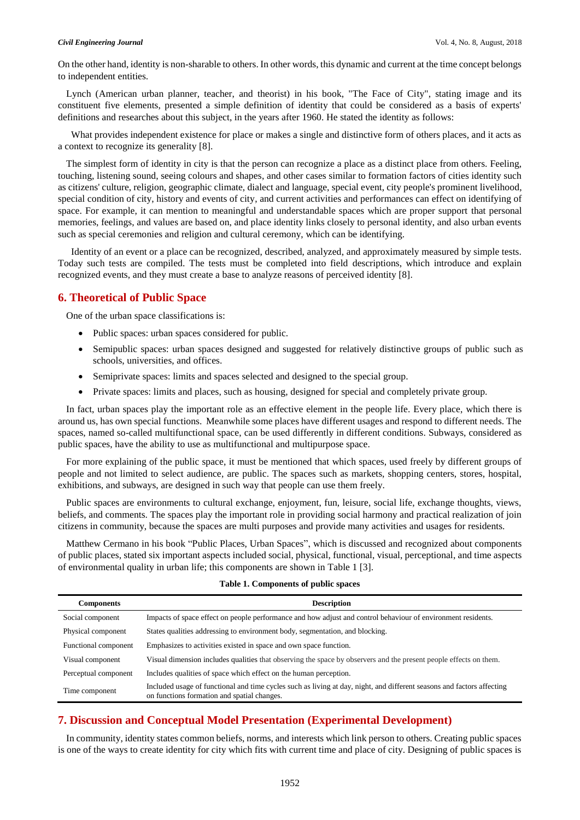On the other hand, identity is non-sharable to others. In other words, this dynamic and current at the time concept belongs to independent entities.

Lynch (American urban planner, teacher, and theorist) in his book, "The Face of City", stating image and its constituent five elements, presented a simple definition of identity that could be considered as a basis of experts' definitions and researches about this subject, in the years after 1960. He stated the identity as follows:

 What provides independent existence for place or makes a single and distinctive form of others places, and it acts as a context to recognize its generality [8].

The simplest form of identity in city is that the person can recognize a place as a distinct place from others. Feeling, touching, listening sound, seeing colours and shapes, and other cases similar to formation factors of cities identity such as citizens' culture, religion, geographic climate, dialect and language, special event, city people's prominent livelihood, special condition of city, history and events of city, and current activities and performances can effect on identifying of space. For example, it can mention to meaningful and understandable spaces which are proper support that personal memories, feelings, and values are based on, and place identity links closely to personal identity, and also urban events such as special ceremonies and religion and cultural ceremony, which can be identifying.

 Identity of an event or a place can be recognized, described, analyzed, and approximately measured by simple tests. Today such tests are compiled. The tests must be completed into field descriptions, which introduce and explain recognized events, and they must create a base to analyze reasons of perceived identity [8].

#### **6. Theoretical of Public Space**

One of the urban space classifications is:

- Public spaces: urban spaces considered for public.
- Semipublic spaces: urban spaces designed and suggested for relatively distinctive groups of public such as schools, universities, and offices.
- Semiprivate spaces: limits and spaces selected and designed to the special group.
- Private spaces: limits and places, such as housing, designed for special and completely private group.

In fact, urban spaces play the important role as an effective element in the people life. Every place, which there is around us, has own special functions. Meanwhile some places have different usages and respond to different needs. The spaces, named so-called multifunctional space, can be used differently in different conditions. Subways, considered as public spaces, have the ability to use as multifunctional and multipurpose space.

For more explaining of the public space, it must be mentioned that which spaces, used freely by different groups of people and not limited to select audience, are public. The spaces such as markets, shopping centers, stores, hospital, exhibitions, and subways, are designed in such way that people can use them freely.

Public spaces are environments to cultural exchange, enjoyment, fun, leisure, social life, exchange thoughts, views, beliefs, and comments. The spaces play the important role in providing social harmony and practical realization of join citizens in community, because the spaces are multi purposes and provide many activities and usages for residents.

Matthew Cermano in his book "Public Places, Urban Spaces", which is discussed and recognized about components of public places, stated six important aspects included social, physical, functional, visual, perceptional, and time aspects of environmental quality in urban life; this components are shown in Table 1 [3].

| <b>Components</b>    | <b>Description</b>                                                                                                                                                    |
|----------------------|-----------------------------------------------------------------------------------------------------------------------------------------------------------------------|
| Social component     | Impacts of space effect on people performance and how adjust and control behaviour of environment residents.                                                          |
| Physical component   | States qualities addressing to environment body, segmentation, and blocking.                                                                                          |
| Functional component | Emphasizes to activities existed in space and own space function.                                                                                                     |
| Visual component     | Visual dimension includes qualities that observing the space by observers and the present people effects on them.                                                     |
| Perceptual component | Includes qualities of space which effect on the human perception.                                                                                                     |
| Time component       | Included usage of functional and time cycles such as living at day, night, and different seasons and factors affecting<br>on functions formation and spatial changes. |

#### **Table 1. Components of public spaces**

# **7. Discussion and Conceptual Model Presentation (Experimental Development)**

In community, identity states common beliefs, norms, and interests which link person to others. Creating public spaces is one of the ways to create identity for city which fits with current time and place of city. Designing of public spaces is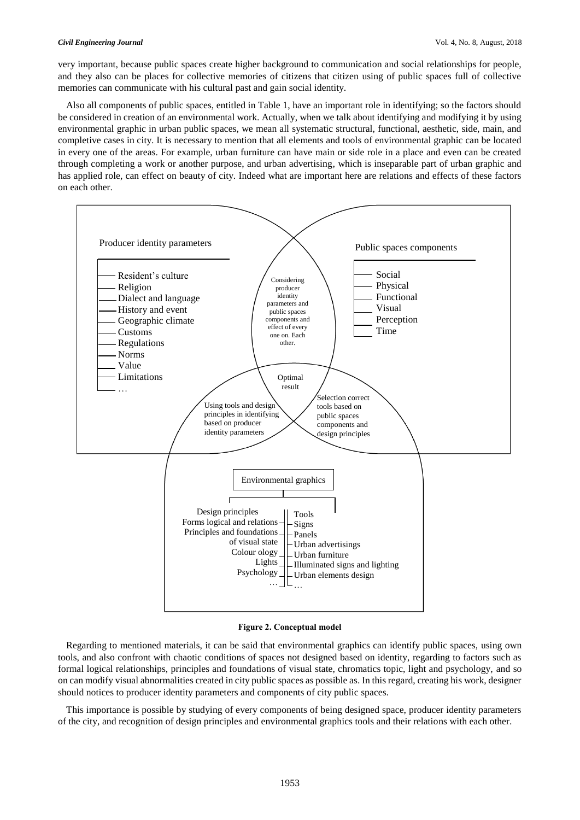#### *Civil Engineering Journal* Vol. 4, No. 8, August, 2018

very important, because public spaces create higher background to communication and social relationships for people, and they also can be places for collective memories of citizens that citizen using of public spaces full of collective memories can communicate with his cultural past and gain social identity.

Also all components of public spaces, entitled in Table 1, have an important role in identifying; so the factors should be considered in creation of an environmental work. Actually, when we talk about identifying and modifying it by using environmental graphic in urban public spaces, we mean all systematic structural, functional, aesthetic, side, main, and completive cases in city. It is necessary to mention that all elements and tools of environmental graphic can be located in every one of the areas. For example, urban furniture can have main or side role in a place and even can be created through completing a work or another purpose, and urban advertising, which is inseparable part of urban graphic and has applied role, can effect on beauty of city. Indeed what are important here are relations and effects of these factors on each other.



**Figure 2. Conceptual model**

Regarding to mentioned materials, it can be said that environmental graphics can identify public spaces, using own tools, and also confront with chaotic conditions of spaces not designed based on identity, regarding to factors such as formal logical relationships, principles and foundations of visual state, chromatics topic, light and psychology, and so on can modify visual abnormalities created in city public spaces as possible as. In this regard, creating his work, designer should notices to producer identity parameters and components of city public spaces.

This importance is possible by studying of every components of being designed space, producer identity parameters of the city, and recognition of design principles and environmental graphics tools and their relations with each other.